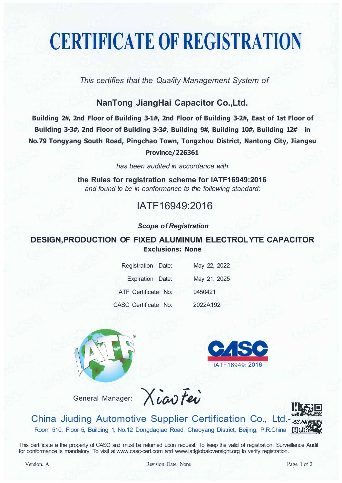# **CERTIFICATE OF REGISTRATION**

*This certifies that the Qua/ity Management System of* 

### **NanTong JiangHai Capacitor Co.,Ltd.**

**Building 2#, 2nd Floor of Building 3-1#, 2nd Floor of Building 3-2#, East of 1st Floor of Building 3-3#, 2nd Floor of Building 3-3#, Building 9#, Building 10#, Building 12# in No.79 Tongyang South Road, Pingchao Town, Tongzhou District, Nantong City, Jiangsu Province/226361** 

*has been audited in accordance with* 

**the Rules for registration scheme for IATF16949:2016**  *and found to be in conformance to the following standard:* 

## IATF16949:2016

#### *Scope of Registration*

### **DESIGN,PRODUCTION OF FIXED ALUMINUM ELECTROL YTE CAPACITOR Exclusions: None**

| Registration Date:   | May 22, 2022 |
|----------------------|--------------|
| Expiration Date:     | May 21, 2025 |
| IATF Certificate No: | 0450421      |
| CASC Certificate No: | 2022A192     |









China Jiuding Automotive Supplier Certification Co., Ltd.- Room 510, Floor 5, Building 1, No.12 Dongdaqiao Road, Chaoyang District, Beijing, P.R.China

This certificate is the property of CASC and must be returned upon request. To keep the valid of registration, Surveillance Audit for conformance is mandatory. To visit at www.casc-cert.com and www.iatfglobaloversight.org to verify registration.